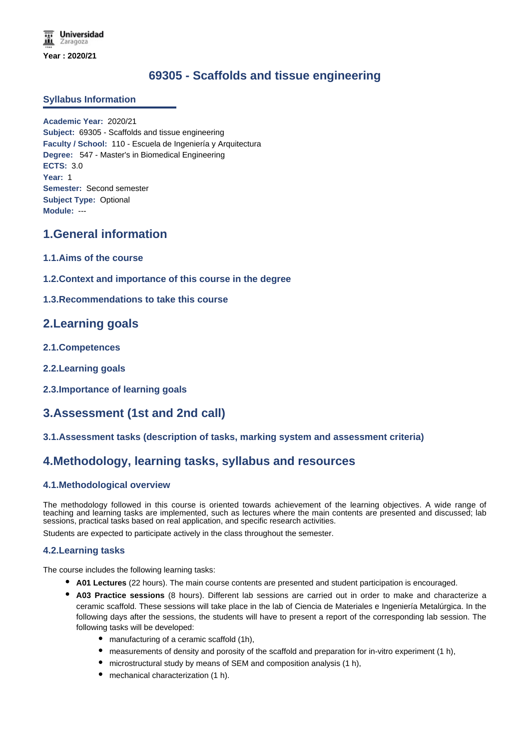# **69305 - Scaffolds and tissue engineering**

## **Syllabus Information**

**Academic Year:** 2020/21 **Subject:** 69305 - Scaffolds and tissue engineering **Faculty / School:** 110 - Escuela de Ingeniería y Arquitectura **Degree:** 547 - Master's in Biomedical Engineering **ECTS:** 3.0 **Year:** 1 **Semester:** Second semester **Subject Type:** Optional **Module:** ---

# **1.General information**

- **1.1.Aims of the course**
- **1.2.Context and importance of this course in the degree**
- **1.3.Recommendations to take this course**

# **2.Learning goals**

- **2.1.Competences**
- **2.2.Learning goals**
- **2.3.Importance of learning goals**

# **3.Assessment (1st and 2nd call)**

**3.1.Assessment tasks (description of tasks, marking system and assessment criteria)**

# **4.Methodology, learning tasks, syllabus and resources**

## **4.1.Methodological overview**

The methodology followed in this course is oriented towards achievement of the learning objectives. A wide range of teaching and learning tasks are implemented, such as lectures where the main contents are presented and discussed; lab sessions, practical tasks based on real application, and specific research activities.

Students are expected to participate actively in the class throughout the semester.

## **4.2.Learning tasks**

The course includes the following learning tasks:

- **A01 Lectures** (22 hours). The main course contents are presented and student participation is encouraged.
- **A03 Practice sessions** (8 hours). Different lab sessions are carried out in order to make and characterize a ceramic scaffold. These sessions will take place in the lab of Ciencia de Materiales e Ingeniería Metalúrgica. In the following days after the sessions, the students will have to present a report of the corresponding lab session. The following tasks will be developed:
	- manufacturing of a ceramic scaffold (1h),
	- measurements of density and porosity of the scaffold and preparation for in-vitro experiment (1 h),
	- microstructural study by means of SEM and composition analysis (1 h),
	- mechanical characterization (1 h).